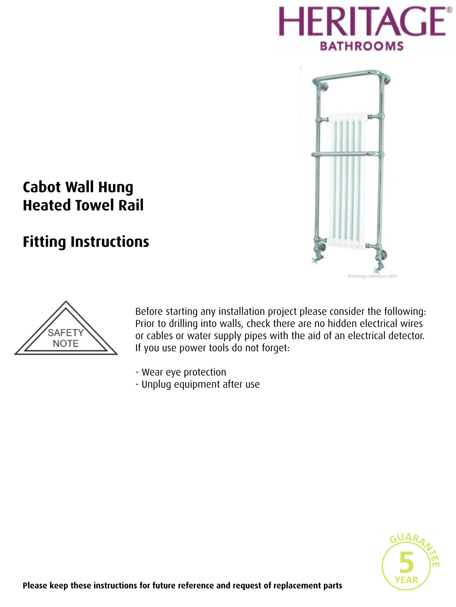



# **Cabot Wall Hung Heated Towel Rail**

# **Fitting Instructions**



Before starting any installation project please consider the following: Prior to drilling into walls, check there are no hidden electrical wires or cables or water supply pipes with the aid of an electrical detector. If you use power tools do not forget:

- Wear eye protection
- Unplug equipment after use

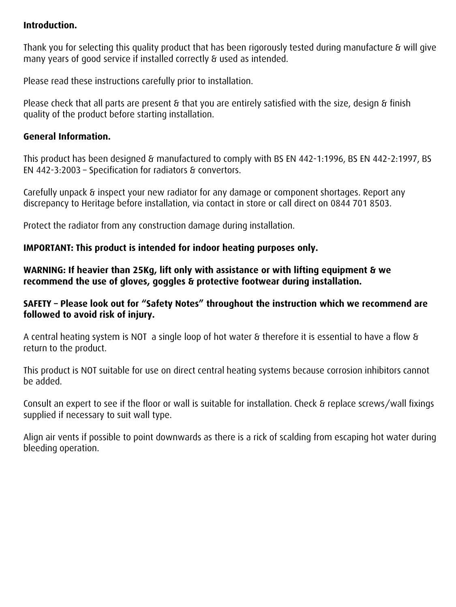#### **Introduction.**

Thank you for selecting this quality product that has been rigorously tested during manufacture & will give many years of good service if installed correctly & used as intended.

Please read these instructions carefully prior to installation.

Please check that all parts are present & that you are entirely satisfied with the size, design & finish quality of the product before starting installation.

#### **General Information.**

This product has been designed & manufactured to comply with BS EN 442-1:1996, BS EN 442-2:1997, BS EN 442-3:2003 – Specification for radiators & convertors.

Carefully unpack & inspect your new radiator for any damage or component shortages. Report any discrepancy to Heritage before installation, via contact in store or call direct on 0844 701 8503.

Protect the radiator from any construction damage during installation.

## **IMPORTANT: This product is intended for indoor heating purposes only.**

**WARNING: If heavier than 25Kg, lift only with assistance or with lifting equipment & we recommend the use of gloves, goggles & protective footwear during installation.**

#### **SAFETY – Please look out for "Safety Notes" throughout the instruction which we recommend are followed to avoid risk of injury.**

A central heating system is NOT a single loop of hot water & therefore it is essential to have a flow & return to the product.

This product is NOT suitable for use on direct central heating systems because corrosion inhibitors cannot be added.

Consult an expert to see if the floor or wall is suitable for installation. Check & replace screws/wall fixings supplied if necessary to suit wall type.

Align air vents if possible to point downwards as there is a rick of scalding from escaping hot water during bleeding operation.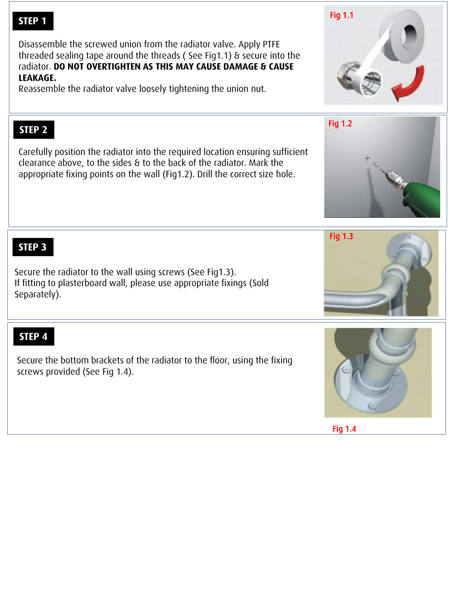# **STEP 1**

Disassemble the screwed union from the radiator valve. Apply PTFE threaded sealing tape around the threads ( See Fig1.1) & secure into the radiator. **DO NOT OVERTIGHTEN AS THIS MAY CAUSE DAMAGE & CAUSE LEAKAGE.**

Reassemble the radiator valve loosely tightening the union nut.

# **STEP 2**

Carefully position the radiator into the required location ensuring sufficient clearance above, to the sides & to the back of the radiator. Mark the appropriate fixing points on the wall (Fig1.2). Drill the correct size hole.

**STEP 3**

Secure the radiator to the wall using screws (See Fig1.3). If fitting to plasterboard wall, please use appropriate fixings (Sold Separately).

# **STEP 4**

Secure the bottom brackets of the radiator to the floor, using the fixing screws provided (See Fig 1.4).









Fig 1.3

Fig 1.4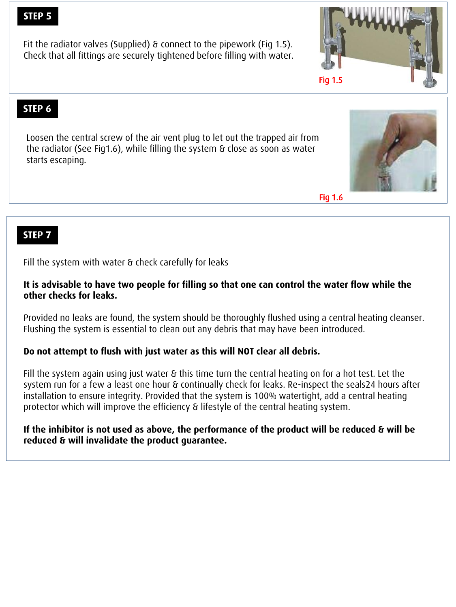## **STEP 5**

Fit the radiator valves (Supplied) & connect to the pipework (Fig 1.5). Check that all fittings are securely tightened before filling with water.

# **STEP 6**

Loosen the central screw of the air vent plug to let out the trapped air from the radiator (See Fig1.6), while filling the system & close as soon as water starts escaping.

Fig 1.6

# **STEP 7**

Fill the system with water & check carefully for leaks

#### **It is advisable to have two people for filling so that one can control the water flow while the other checks for leaks.**

Provided no leaks are found, the system should be thoroughly flushed using a central heating cleanser. Flushing the system is essential to clean out any debris that may have been introduced.

#### **Do not attempt to flush with just water as this will NOT clear all debris.**

Fill the system again using just water & this time turn the central heating on for a hot test. Let the system run for a few a least one hour & continually check for leaks. Re-inspect the seals24 hours after installation to ensure integrity. Provided that the system is 100% watertight, add a central heating protector which will improve the efficiency & lifestyle of the central heating system.

#### **If the inhibitor is not used as above, the performance of the product will be reduced & will be reduced & will invalidate the product guarantee.**



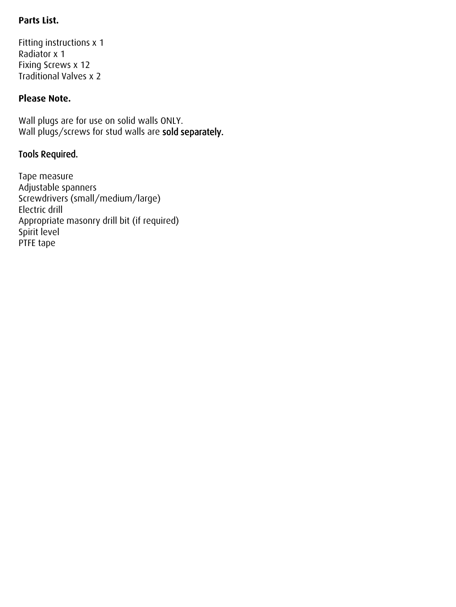# **Parts List.**

Fitting instructions x 1 Radiator x 1 Fixing Screws x 12 Traditional Valves x 2

## **Please Note.**

Wall plugs are for use on solid walls ONLY. Wall plugs/screws for stud walls are sold separately.

# Tools Required.

Tape measure Adjustable spanners Screwdrivers (small/medium/large) Electric drill Appropriate masonry drill bit (if required) Spirit level PTFE tape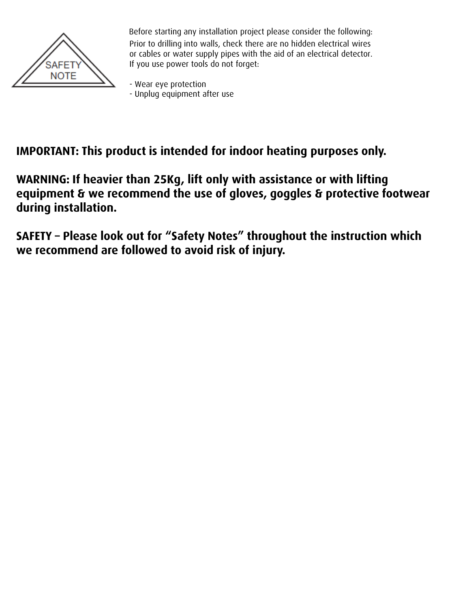

Before starting any installation project please consider the following: Prior to drilling into walls, check there are no hidden electrical wires or cables or water supply pipes with the aid of an electrical detector. If you use power tools do not forget:

- Wear eye protection - Unplug equipment after use

# **IMPORTANT: This product is intended for indoor heating purposes only.**

**WARNING: If heavier than 25Kg, lift only with assistance or with lifting equipment & we recommend the use of gloves, goggles & protective footwear during installation.**

**SAFETY – Please look out for "Safety Notes" throughout the instruction which we recommend are followed to avoid risk of injury.**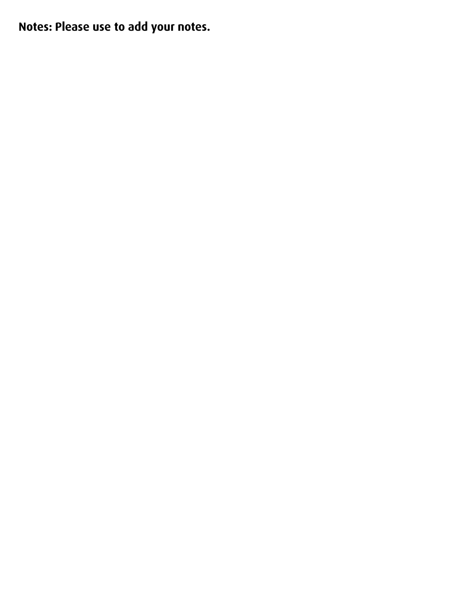**Notes: Please use to add your notes.**